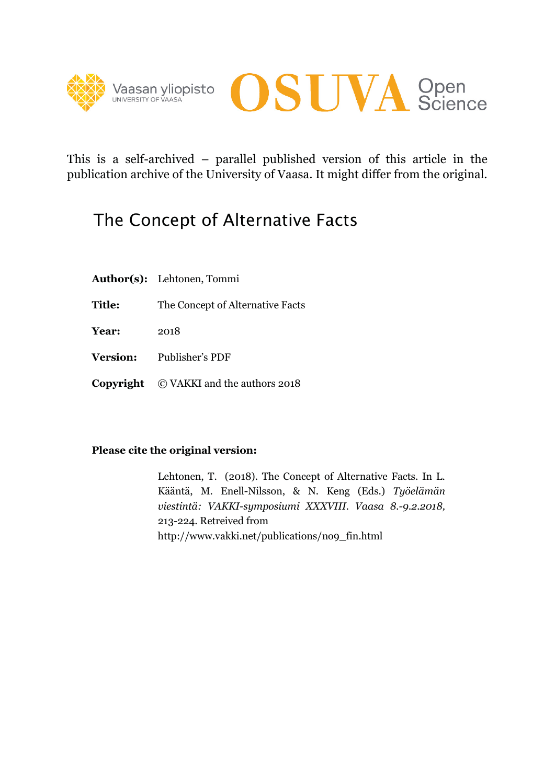



This is a self-archived – parallel published version of this article in the publication archive of the University of Vaasa. It might differ from the original.

# The Concept of Alternative Facts

- **Author(s):** Lehtonen, Tommi
- **Title:** The Concept of Alternative Facts
- **Year:** 2018
- **Version:** Publisher's PDF
- **Copyright** © VAKKI and the authors 2018

#### **Please cite the original version:**

 Lehtonen, T. (2018). The Concept of Alternative Facts. In L. Kääntä, M. Enell-Nilsson, & N. Keng (Eds.) *Työelämän viestintä: VAKKI-symposiumi XXXVIII. Vaasa 8.-9.2.2018,* 213-224. Retreived from http://www.vakki.net/publications/no9\_fin.html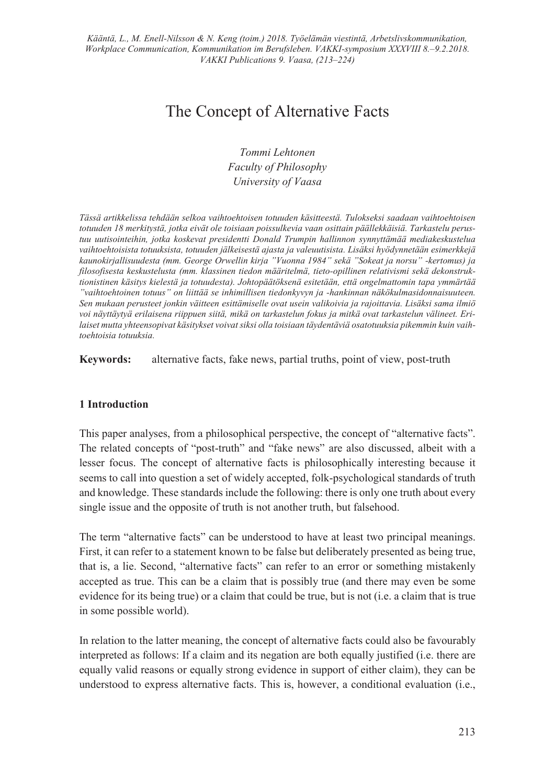## The Concept of Alternative Facts

*Tommi Lehtonen Faculty of Philosophy University of Vaasa* 

*Tässä artikkelissa tehdään selkoa vaihtoehtoisen totuuden käsitteestä. Tulokseksi saadaan vaihtoehtoisen totuuden 18 merkitystä, jotka eivät ole toisiaan poissulkevia vaan osittain päällekkäisiä. Tarkastelu perustuu uutisointeihin, jotka koskevat presidentti Donald Trumpin hallinnon synnyttämää mediakeskustelua vaihtoehtoisista totuuksista, totuuden jälkeisestä ajasta ja valeuutisista. Lisäksi hyödynnetään esimerkkejä kaunokirjallisuudesta (mm. George Orwellin kirja "Vuonna 1984" sekä "Sokeat ja norsu" -kertomus) ja filosofisesta keskustelusta (mm. klassinen tiedon määritelmä, tieto-opillinen relativismi sekä dekonstruktionistinen käsitys kielestä ja totuudesta). Johtopäätöksenä esitetään, että ongelmattomin tapa ymmärtää "vaihtoehtoinen totuus" on liittää se inhimillisen tiedonkyvyn ja -hankinnan näkökulmasidonnaisuuteen. Sen mukaan perusteet jonkin väitteen esittämiselle ovat usein valikoivia ja rajoittavia. Lisäksi sama ilmiö voi näyttäytyä erilaisena riippuen siitä, mikä on tarkastelun fokus ja mitkä ovat tarkastelun välineet. Erilaiset mutta yhteensopivat käsitykset voivat siksi olla toisiaan täydentäviä osatotuuksia pikemmin kuin vaihtoehtoisia totuuksia.* 

**Keywords:** alternative facts, fake news, partial truths, point of view, post-truth

#### **1 Introduction**

This paper analyses, from a philosophical perspective, the concept of "alternative facts". The related concepts of "post-truth" and "fake news" are also discussed, albeit with a lesser focus. The concept of alternative facts is philosophically interesting because it seems to call into question a set of widely accepted, folk-psychological standards of truth and knowledge. These standards include the following: there is only one truth about every single issue and the opposite of truth is not another truth, but falsehood.

The term "alternative facts" can be understood to have at least two principal meanings. First, it can refer to a statement known to be false but deliberately presented as being true, that is, a lie. Second, "alternative facts" can refer to an error or something mistakenly accepted as true. This can be a claim that is possibly true (and there may even be some evidence for its being true) or a claim that could be true, but is not (i.e. a claim that is true in some possible world).

In relation to the latter meaning, the concept of alternative facts could also be favourably interpreted as follows: If a claim and its negation are both equally justified (i.e. there are equally valid reasons or equally strong evidence in support of either claim), they can be understood to express alternative facts. This is, however, a conditional evaluation (i.e.,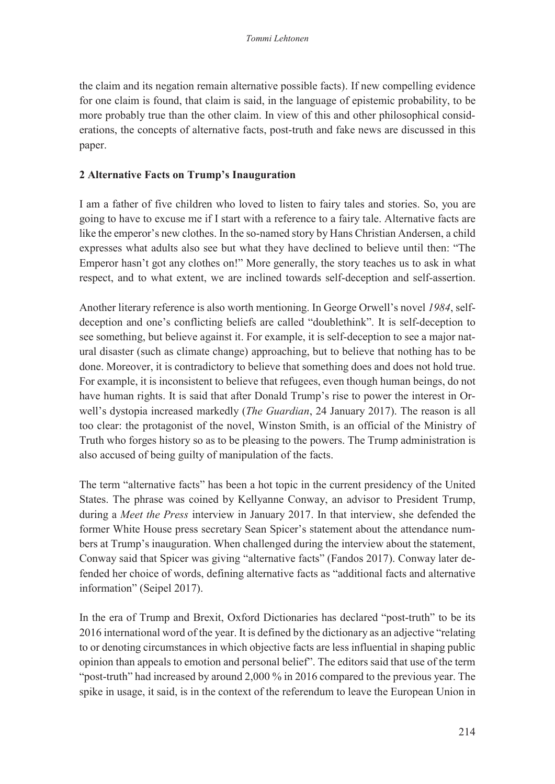the claim and its negation remain alternative possible facts). If new compelling evidence for one claim is found, that claim is said, in the language of epistemic probability, to be more probably true than the other claim. In view of this and other philosophical considerations, the concepts of alternative facts, post-truth and fake news are discussed in this paper.

#### **2 Alternative Facts on Trump's Inauguration**

I am a father of five children who loved to listen to fairy tales and stories. So, you are going to have to excuse me if I start with a reference to a fairy tale. Alternative facts are like the emperor's new clothes. In the so-named story by Hans Christian Andersen, a child expresses what adults also see but what they have declined to believe until then: "The Emperor hasn't got any clothes on!" More generally, the story teaches us to ask in what respect, and to what extent, we are inclined towards self-deception and self-assertion.

Another literary reference is also worth mentioning. In George Orwell's novel *1984*, selfdeception and one's conflicting beliefs are called "doublethink". It is self-deception to see something, but believe against it. For example, it is self-deception to see a major natural disaster (such as climate change) approaching, but to believe that nothing has to be done. Moreover, it is contradictory to believe that something does and does not hold true. For example, it is inconsistent to believe that refugees, even though human beings, do not have human rights. It is said that after Donald Trump's rise to power the interest in Orwell's dystopia increased markedly (*The Guardian*, 24 January 2017). The reason is all too clear: the protagonist of the novel, Winston Smith, is an official of the Ministry of Truth who forges history so as to be pleasing to the powers. The Trump administration is also accused of being guilty of manipulation of the facts.

The term "alternative facts" has been a hot topic in the current presidency of the United States. The phrase was coined by Kellyanne Conway, an advisor to President Trump, during a *Meet the Press* interview in January 2017. In that interview, she defended the former White House press secretary Sean Spicer's statement about the attendance numbers at Trump's inauguration. When challenged during the interview about the statement, Conway said that Spicer was giving "alternative facts" (Fandos 2017). Conway later defended her choice of words, defining alternative facts as "additional facts and alternative information" (Seipel 2017).

In the era of Trump and Brexit, Oxford Dictionaries has declared "post-truth" to be its 2016 international word of the year. It is defined by the dictionary as an adjective "relating to or denoting circumstances in which objective facts are less influential in shaping public opinion than appeals to emotion and personal belief". The editors said that use of the term "post-truth" had increased by around 2,000 % in 2016 compared to the previous year. The spike in usage, it said, is in the context of the referendum to leave the European Union in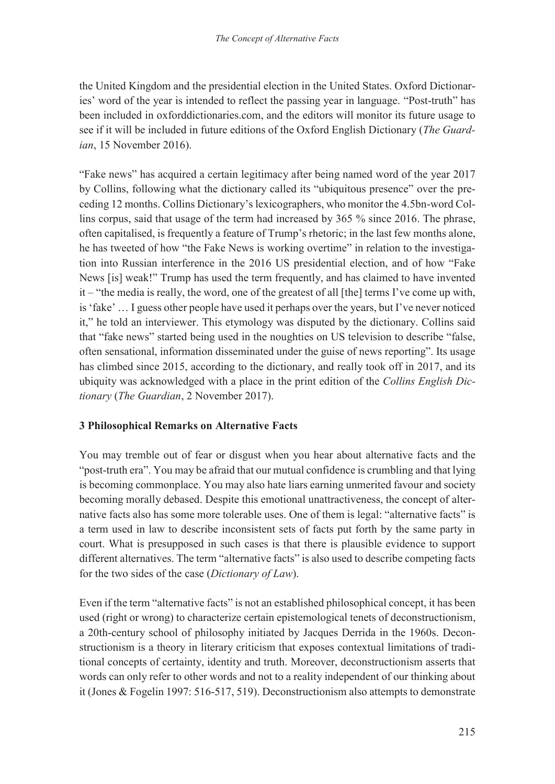the United Kingdom and the presidential election in the United States. Oxford Dictionaries' word of the year is intended to reflect the passing year in language. "Post-truth" has been included in oxforddictionaries.com, and the editors will monitor its future usage to see if it will be included in future editions of the Oxford English Dictionary (*The Guardian*, 15 November 2016).

"Fake news" has acquired a certain legitimacy after being named word of the year 2017 by Collins, following what the dictionary called its "ubiquitous presence" over the preceding 12 months. Collins Dictionary's lexicographers, who monitor the 4.5bn-word Collins corpus, said that usage of the term had increased by 365 % since 2016. The phrase, often capitalised, is frequently a feature of Trump's rhetoric; in the last few months alone, he has tweeted of how "the Fake News is working overtime" in relation to the investigation into Russian interference in the 2016 US presidential election, and of how "Fake News [is] weak!" Trump has used the term frequently, and has claimed to have invented it – "the media is really, the word, one of the greatest of all [the] terms I've come up with, is 'fake' … I guess other people have used it perhaps over the years, but I've never noticed it," he told an interviewer. This etymology was disputed by the dictionary. Collins said that "fake news" started being used in the noughties on US television to describe "false, often sensational, information disseminated under the guise of news reporting". Its usage has climbed since 2015, according to the dictionary, and really took off in 2017, and its ubiquity was acknowledged with a place in the print edition of the *Collins English Dictionary* (*The Guardian*, 2 November 2017).

### **3 Philosophical Remarks on Alternative Facts**

You may tremble out of fear or disgust when you hear about alternative facts and the "post-truth era". You may be afraid that our mutual confidence is crumbling and that lying is becoming commonplace. You may also hate liars earning unmerited favour and society becoming morally debased. Despite this emotional unattractiveness, the concept of alternative facts also has some more tolerable uses. One of them is legal: "alternative facts" is a term used in law to describe inconsistent sets of facts put forth by the same party in court. What is presupposed in such cases is that there is plausible evidence to support different alternatives. The term "alternative facts" is also used to describe competing facts for the two sides of the case (*Dictionary of Law*).

Even if the term "alternative facts" is not an established philosophical concept, it has been used (right or wrong) to characterize certain epistemological tenets of deconstructionism, a 20th-century school of philosophy initiated by Jacques Derrida in the 1960s. Deconstructionism is a theory in literary criticism that exposes contextual limitations of traditional concepts of certainty, identity and truth. Moreover, deconstructionism asserts that words can only refer to other words and not to a reality independent of our thinking about it (Jones & Fogelin 1997: 516-517, 519). Deconstructionism also attempts to demonstrate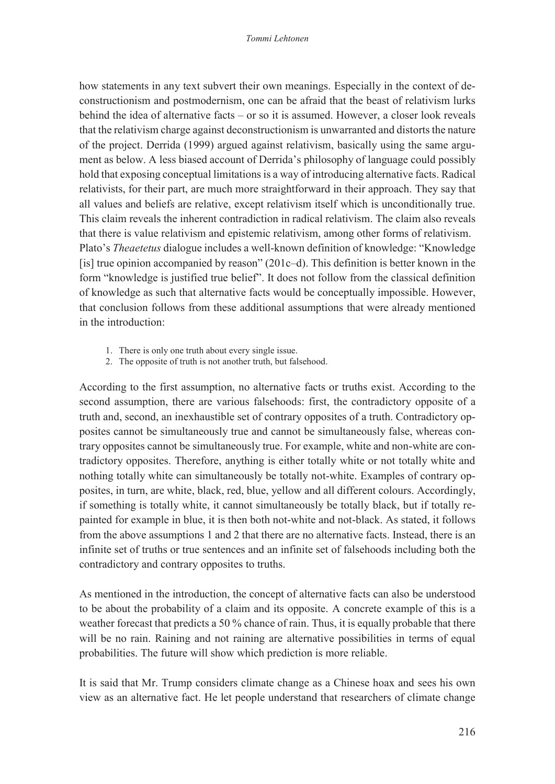how statements in any text subvert their own meanings. Especially in the context of deconstructionism and postmodernism, one can be afraid that the beast of relativism lurks behind the idea of alternative facts – or so it is assumed. However, a closer look reveals that the relativism charge against deconstructionism is unwarranted and distorts the nature of the project. Derrida (1999) argued against relativism, basically using the same argument as below. A less biased account of Derrida's philosophy of language could possibly hold that exposing conceptual limitations is a way of introducing alternative facts. Radical relativists, for their part, are much more straightforward in their approach. They say that all values and beliefs are relative, except relativism itself which is unconditionally true. This claim reveals the inherent contradiction in radical relativism. The claim also reveals that there is value relativism and epistemic relativism, among other forms of relativism. Plato's *Theaetetus* dialogue includes a well-known definition of knowledge: "Knowledge [is] true opinion accompanied by reason"  $(201c-d)$ . This definition is better known in the form "knowledge is justified true belief". It does not follow from the classical definition of knowledge as such that alternative facts would be conceptually impossible. However, that conclusion follows from these additional assumptions that were already mentioned in the introduction:

- 1. There is only one truth about every single issue.
- 2. The opposite of truth is not another truth, but falsehood.

According to the first assumption, no alternative facts or truths exist. According to the second assumption, there are various falsehoods: first, the contradictory opposite of a truth and, second, an inexhaustible set of contrary opposites of a truth. Contradictory opposites cannot be simultaneously true and cannot be simultaneously false, whereas contrary opposites cannot be simultaneously true. For example, white and non-white are contradictory opposites. Therefore, anything is either totally white or not totally white and nothing totally white can simultaneously be totally not-white. Examples of contrary opposites, in turn, are white, black, red, blue, yellow and all different colours. Accordingly, if something is totally white, it cannot simultaneously be totally black, but if totally repainted for example in blue, it is then both not-white and not-black. As stated, it follows from the above assumptions 1 and 2 that there are no alternative facts. Instead, there is an infinite set of truths or true sentences and an infinite set of falsehoods including both the contradictory and contrary opposites to truths.

As mentioned in the introduction, the concept of alternative facts can also be understood to be about the probability of a claim and its opposite. A concrete example of this is a weather forecast that predicts a 50 % chance of rain. Thus, it is equally probable that there will be no rain. Raining and not raining are alternative possibilities in terms of equal probabilities. The future will show which prediction is more reliable.

It is said that Mr. Trump considers climate change as a Chinese hoax and sees his own view as an alternative fact. He let people understand that researchers of climate change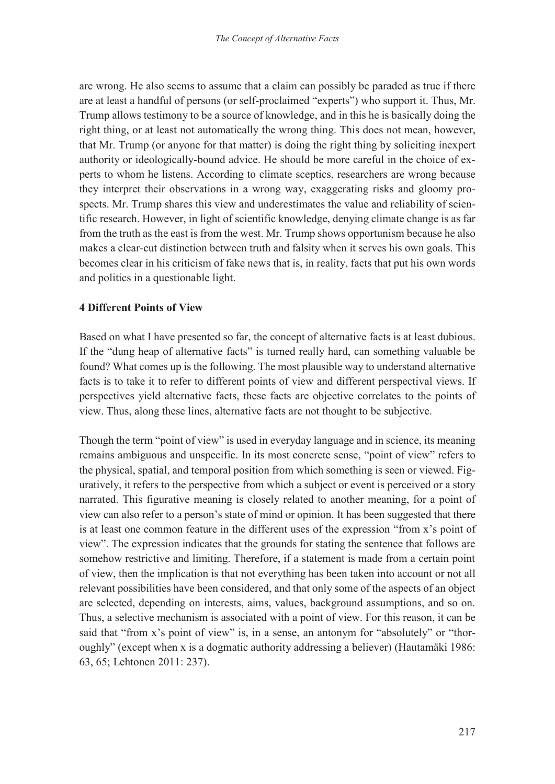are wrong. He also seems to assume that a claim can possibly be paraded as true if there are at least a handful of persons (or self-proclaimed "experts") who support it. Thus, Mr. Trump allows testimony to be a source of knowledge, and in this he is basically doing the right thing, or at least not automatically the wrong thing. This does not mean, however, that Mr. Trump (or anyone for that matter) is doing the right thing by soliciting inexpert authority or ideologically-bound advice. He should be more careful in the choice of experts to whom he listens. According to climate sceptics, researchers are wrong because they interpret their observations in a wrong way, exaggerating risks and gloomy prospects. Mr. Trump shares this view and underestimates the value and reliability of scientific research. However, in light of scientific knowledge, denying climate change is as far from the truth as the east is from the west. Mr. Trump shows opportunism because he also makes a clear-cut distinction between truth and falsity when it serves his own goals. This becomes clear in his criticism of fake news that is, in reality, facts that put his own words and politics in a questionable light.

#### **4 Different Points of View**

Based on what I have presented so far, the concept of alternative facts is at least dubious. If the "dung heap of alternative facts" is turned really hard, can something valuable be found? What comes up is the following. The most plausible way to understand alternative facts is to take it to refer to different points of view and different perspectival views. If perspectives yield alternative facts, these facts are objective correlates to the points of view. Thus, along these lines, alternative facts are not thought to be subjective.

Though the term "point of view" is used in everyday language and in science, its meaning remains ambiguous and unspecific. In its most concrete sense, "point of view" refers to the physical, spatial, and temporal position from which something is seen or viewed. Figuratively, it refers to the perspective from which a subject or event is perceived or a story narrated. This figurative meaning is closely related to another meaning, for a point of view can also refer to a person's state of mind or opinion. It has been suggested that there is at least one common feature in the different uses of the expression "from x's point of view". The expression indicates that the grounds for stating the sentence that follows are somehow restrictive and limiting. Therefore, if a statement is made from a certain point of view, then the implication is that not everything has been taken into account or not all relevant possibilities have been considered, and that only some of the aspects of an object are selected, depending on interests, aims, values, background assumptions, and so on. Thus, a selective mechanism is associated with a point of view. For this reason, it can be said that "from x's point of view" is, in a sense, an antonym for "absolutely" or "thoroughly" (except when x is a dogmatic authority addressing a believer) (Hautamäki 1986: 63, 65; Lehtonen 2011: 237).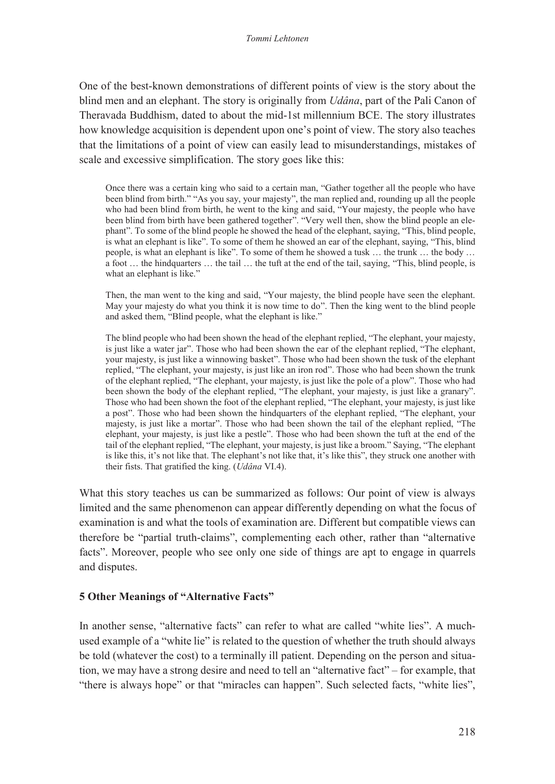One of the best-known demonstrations of different points of view is the story about the blind men and an elephant. The story is originally from *Udâna*, part of the Pali Canon of Theravada Buddhism, dated to about the mid-1st millennium BCE. The story illustrates how knowledge acquisition is dependent upon one's point of view. The story also teaches that the limitations of a point of view can easily lead to misunderstandings, mistakes of scale and excessive simplification. The story goes like this:

Once there was a certain king who said to a certain man, "Gather together all the people who have been blind from birth." "As you say, your majesty", the man replied and, rounding up all the people who had been blind from birth, he went to the king and said, "Your majesty, the people who have been blind from birth have been gathered together". "Very well then, show the blind people an elephant". To some of the blind people he showed the head of the elephant, saying, "This, blind people, is what an elephant is like". To some of them he showed an ear of the elephant, saying, "This, blind people, is what an elephant is like". To some of them he showed a tusk … the trunk … the body … a foot … the hindquarters … the tail … the tuft at the end of the tail, saying, "This, blind people, is what an elephant is like."

Then, the man went to the king and said, "Your majesty, the blind people have seen the elephant. May your majesty do what you think it is now time to do". Then the king went to the blind people and asked them, "Blind people, what the elephant is like."

The blind people who had been shown the head of the elephant replied, "The elephant, your majesty, is just like a water jar". Those who had been shown the ear of the elephant replied, "The elephant, your majesty, is just like a winnowing basket". Those who had been shown the tusk of the elephant replied, "The elephant, your majesty, is just like an iron rod". Those who had been shown the trunk of the elephant replied, "The elephant, your majesty, is just like the pole of a plow". Those who had been shown the body of the elephant replied, "The elephant, your majesty, is just like a granary". Those who had been shown the foot of the elephant replied, "The elephant, your majesty, is just like a post". Those who had been shown the hindquarters of the elephant replied, "The elephant, your majesty, is just like a mortar". Those who had been shown the tail of the elephant replied, "The elephant, your majesty, is just like a pestle". Those who had been shown the tuft at the end of the tail of the elephant replied, "The elephant, your majesty, is just like a broom." Saying, "The elephant is like this, it's not like that. The elephant's not like that, it's like this", they struck one another with their fists. That gratified the king. (*Udâna* VI.4).

What this story teaches us can be summarized as follows: Our point of view is always limited and the same phenomenon can appear differently depending on what the focus of examination is and what the tools of examination are. Different but compatible views can therefore be "partial truth-claims", complementing each other, rather than "alternative facts". Moreover, people who see only one side of things are apt to engage in quarrels and disputes.

#### **5 Other Meanings of "Alternative Facts"**

In another sense, "alternative facts" can refer to what are called "white lies". A muchused example of a "white lie" is related to the question of whether the truth should always be told (whatever the cost) to a terminally ill patient. Depending on the person and situation, we may have a strong desire and need to tell an "alternative fact" – for example, that "there is always hope" or that "miracles can happen". Such selected facts, "white lies",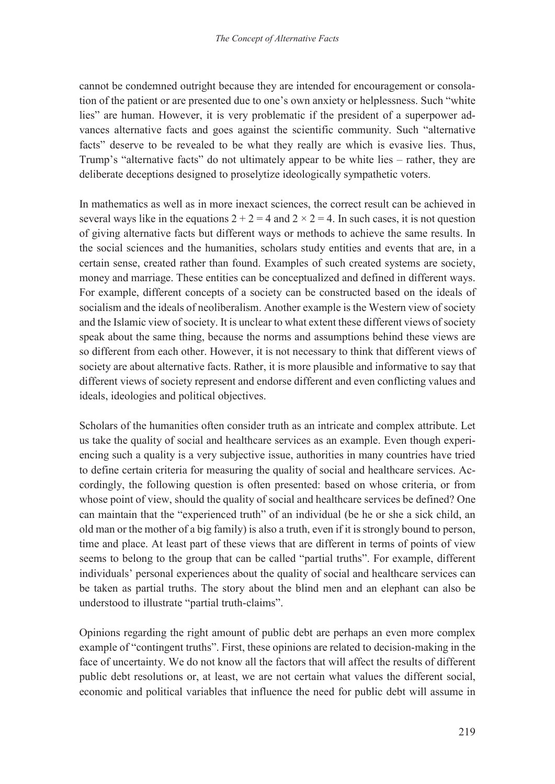cannot be condemned outright because they are intended for encouragement or consolation of the patient or are presented due to one's own anxiety or helplessness. Such "white lies" are human. However, it is very problematic if the president of a superpower advances alternative facts and goes against the scientific community. Such "alternative facts" deserve to be revealed to be what they really are which is evasive lies. Thus, Trump's "alternative facts" do not ultimately appear to be white lies – rather, they are deliberate deceptions designed to proselytize ideologically sympathetic voters.

In mathematics as well as in more inexact sciences, the correct result can be achieved in several ways like in the equations  $2 + 2 = 4$  and  $2 \times 2 = 4$ . In such cases, it is not question of giving alternative facts but different ways or methods to achieve the same results. In the social sciences and the humanities, scholars study entities and events that are, in a certain sense, created rather than found. Examples of such created systems are society, money and marriage. These entities can be conceptualized and defined in different ways. For example, different concepts of a society can be constructed based on the ideals of socialism and the ideals of neoliberalism. Another example is the Western view of society and the Islamic view of society. It is unclear to what extent these different views of society speak about the same thing, because the norms and assumptions behind these views are so different from each other. However, it is not necessary to think that different views of society are about alternative facts. Rather, it is more plausible and informative to say that different views of society represent and endorse different and even conflicting values and ideals, ideologies and political objectives.

Scholars of the humanities often consider truth as an intricate and complex attribute. Let us take the quality of social and healthcare services as an example. Even though experiencing such a quality is a very subjective issue, authorities in many countries have tried to define certain criteria for measuring the quality of social and healthcare services. Accordingly, the following question is often presented: based on whose criteria, or from whose point of view, should the quality of social and healthcare services be defined? One can maintain that the "experienced truth" of an individual (be he or she a sick child, an old man or the mother of a big family) is also a truth, even if it is strongly bound to person, time and place. At least part of these views that are different in terms of points of view seems to belong to the group that can be called "partial truths". For example, different individuals' personal experiences about the quality of social and healthcare services can be taken as partial truths. The story about the blind men and an elephant can also be understood to illustrate "partial truth-claims".

Opinions regarding the right amount of public debt are perhaps an even more complex example of "contingent truths". First, these opinions are related to decision-making in the face of uncertainty. We do not know all the factors that will affect the results of different public debt resolutions or, at least, we are not certain what values the different social, economic and political variables that influence the need for public debt will assume in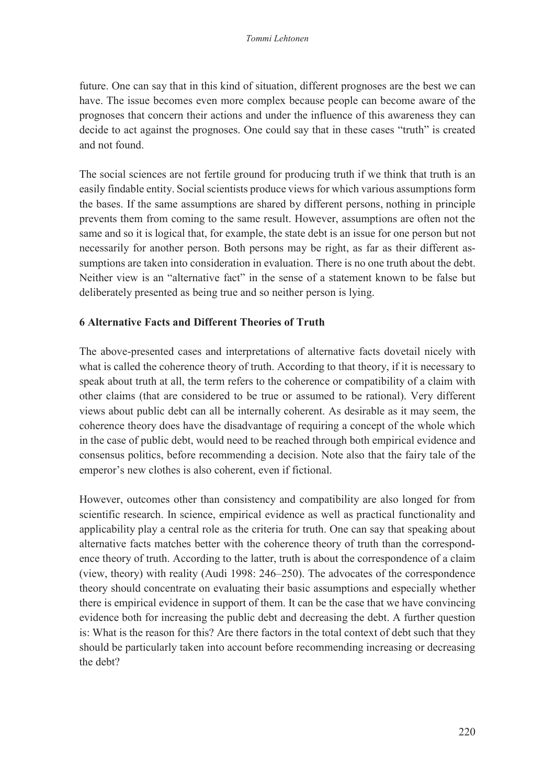future. One can say that in this kind of situation, different prognoses are the best we can have. The issue becomes even more complex because people can become aware of the prognoses that concern their actions and under the influence of this awareness they can decide to act against the prognoses. One could say that in these cases "truth" is created and not found.

The social sciences are not fertile ground for producing truth if we think that truth is an easily findable entity. Social scientists produce views for which various assumptions form the bases. If the same assumptions are shared by different persons, nothing in principle prevents them from coming to the same result. However, assumptions are often not the same and so it is logical that, for example, the state debt is an issue for one person but not necessarily for another person. Both persons may be right, as far as their different assumptions are taken into consideration in evaluation. There is no one truth about the debt. Neither view is an "alternative fact" in the sense of a statement known to be false but deliberately presented as being true and so neither person is lying.

#### **6 Alternative Facts and Different Theories of Truth**

The above-presented cases and interpretations of alternative facts dovetail nicely with what is called the coherence theory of truth. According to that theory, if it is necessary to speak about truth at all, the term refers to the coherence or compatibility of a claim with other claims (that are considered to be true or assumed to be rational). Very different views about public debt can all be internally coherent. As desirable as it may seem, the coherence theory does have the disadvantage of requiring a concept of the whole which in the case of public debt, would need to be reached through both empirical evidence and consensus politics, before recommending a decision. Note also that the fairy tale of the emperor's new clothes is also coherent, even if fictional.

However, outcomes other than consistency and compatibility are also longed for from scientific research. In science, empirical evidence as well as practical functionality and applicability play a central role as the criteria for truth. One can say that speaking about alternative facts matches better with the coherence theory of truth than the correspondence theory of truth. According to the latter, truth is about the correspondence of a claim (view, theory) with reality (Audi 1998: 246–250). The advocates of the correspondence theory should concentrate on evaluating their basic assumptions and especially whether there is empirical evidence in support of them. It can be the case that we have convincing evidence both for increasing the public debt and decreasing the debt. A further question is: What is the reason for this? Are there factors in the total context of debt such that they should be particularly taken into account before recommending increasing or decreasing the debt?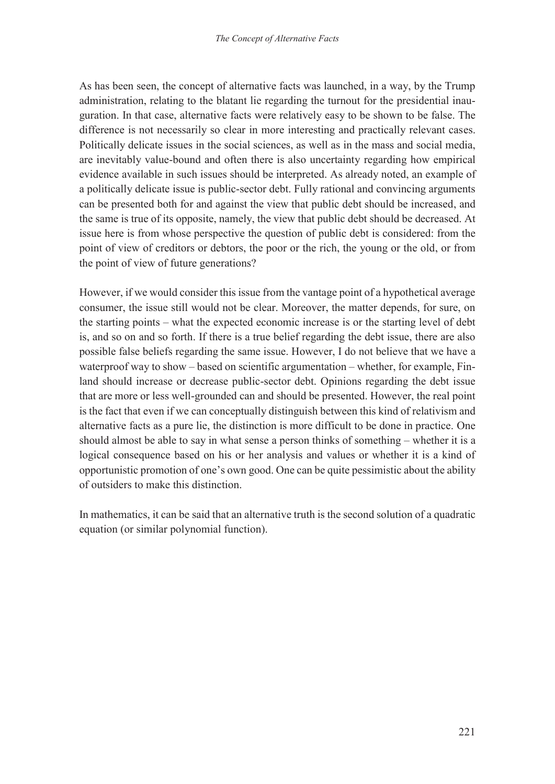As has been seen, the concept of alternative facts was launched, in a way, by the Trump administration, relating to the blatant lie regarding the turnout for the presidential inauguration. In that case, alternative facts were relatively easy to be shown to be false. The difference is not necessarily so clear in more interesting and practically relevant cases. Politically delicate issues in the social sciences, as well as in the mass and social media, are inevitably value-bound and often there is also uncertainty regarding how empirical evidence available in such issues should be interpreted. As already noted, an example of a politically delicate issue is public-sector debt. Fully rational and convincing arguments can be presented both for and against the view that public debt should be increased, and the same is true of its opposite, namely, the view that public debt should be decreased. At issue here is from whose perspective the question of public debt is considered: from the point of view of creditors or debtors, the poor or the rich, the young or the old, or from the point of view of future generations?

However, if we would consider this issue from the vantage point of a hypothetical average consumer, the issue still would not be clear. Moreover, the matter depends, for sure, on the starting points – what the expected economic increase is or the starting level of debt is, and so on and so forth. If there is a true belief regarding the debt issue, there are also possible false beliefs regarding the same issue. However, I do not believe that we have a waterproof way to show – based on scientific argumentation – whether, for example, Finland should increase or decrease public-sector debt. Opinions regarding the debt issue that are more or less well-grounded can and should be presented. However, the real point is the fact that even if we can conceptually distinguish between this kind of relativism and alternative facts as a pure lie, the distinction is more difficult to be done in practice. One should almost be able to say in what sense a person thinks of something – whether it is a logical consequence based on his or her analysis and values or whether it is a kind of opportunistic promotion of one's own good. One can be quite pessimistic about the ability of outsiders to make this distinction.

In mathematics, it can be said that an alternative truth is the second solution of a quadratic equation (or similar polynomial function).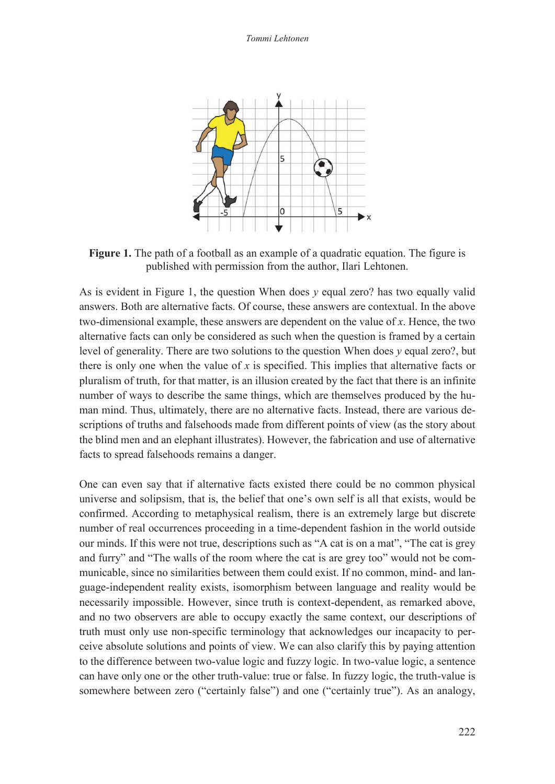

**Figure 1.** The path of a football as an example of a quadratic equation. The figure is published with permission from the author, Ilari Lehtonen.

As is evident in Figure 1, the question When does *v* equal zero? has two equally valid answers. Both are alternative facts. Of course, these answers are contextual. In the above two-dimensional example, these answers are dependent on the value of *x*. Hence, the two alternative facts can only be considered as such when the question is framed by a certain level of generality. There are two solutions to the question When does *y* equal zero?, but there is only one when the value of *x* is specified. This implies that alternative facts or pluralism of truth, for that matter, is an illusion created by the fact that there is an infinite number of ways to describe the same things, which are themselves produced by the human mind. Thus, ultimately, there are no alternative facts. Instead, there are various descriptions of truths and falsehoods made from different points of view (as the story about the blind men and an elephant illustrates). However, the fabrication and use of alternative facts to spread falsehoods remains a danger.

One can even say that if alternative facts existed there could be no common physical universe and solipsism, that is, the belief that one's own self is all that exists, would be confirmed. According to metaphysical realism, there is an extremely large but discrete number of real occurrences proceeding in a time-dependent fashion in the world outside our minds. If this were not true, descriptions such as "A cat is on a mat", "The cat is grey and furry" and "The walls of the room where the cat is are grey too" would not be communicable, since no similarities between them could exist. If no common, mind- and language-independent reality exists, isomorphism between language and reality would be necessarily impossible. However, since truth is context-dependent, as remarked above, and no two observers are able to occupy exactly the same context, our descriptions of truth must only use non-specific terminology that acknowledges our incapacity to perceive absolute solutions and points of view. We can also clarify this by paying attention to the difference between two-value logic and fuzzy logic. In two-value logic, a sentence can have only one or the other truth-value: true or false. In fuzzy logic, the truth-value is somewhere between zero ("certainly false") and one ("certainly true"). As an analogy,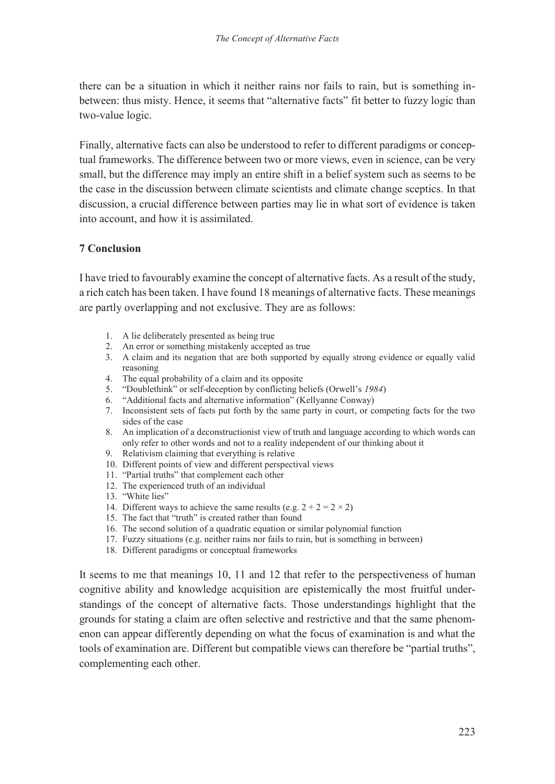there can be a situation in which it neither rains nor fails to rain, but is something inbetween: thus misty. Hence, it seems that "alternative facts" fit better to fuzzy logic than two-value logic.

Finally, alternative facts can also be understood to refer to different paradigms or conceptual frameworks. The difference between two or more views, even in science, can be very small, but the difference may imply an entire shift in a belief system such as seems to be the case in the discussion between climate scientists and climate change sceptics. In that discussion, a crucial difference between parties may lie in what sort of evidence is taken into account, and how it is assimilated.

#### **7 Conclusion**

I have tried to favourably examine the concept of alternative facts. As a result of the study, a rich catch has been taken. I have found 18 meanings of alternative facts. These meanings are partly overlapping and not exclusive. They are as follows:

- 1. A lie deliberately presented as being true
- 2. An error or something mistakenly accepted as true
- 3. A claim and its negation that are both supported by equally strong evidence or equally valid reasoning
- 4. The equal probability of a claim and its opposite
- 5. "Doublethink" or self-deception by conflicting beliefs (Orwell's *1984*)
- 6. "Additional facts and alternative information" (Kellyanne Conway)
- 7. Inconsistent sets of facts put forth by the same party in court, or competing facts for the two sides of the case
- 8. An implication of a deconstructionist view of truth and language according to which words can only refer to other words and not to a reality independent of our thinking about it
- 9. Relativism claiming that everything is relative
- 10. Different points of view and different perspectival views
- 11. "Partial truths" that complement each other
- 12. The experienced truth of an individual
- 13. "White lies"
- 14. Different ways to achieve the same results (e.g.  $2 + 2 = 2 \times 2$ )
- 15. The fact that "truth" is created rather than found
- 16. The second solution of a quadratic equation or similar polynomial function
- 17. Fuzzy situations (e.g. neither rains nor fails to rain, but is something in between)
- 18. Different paradigms or conceptual frameworks

It seems to me that meanings 10, 11 and 12 that refer to the perspectiveness of human cognitive ability and knowledge acquisition are epistemically the most fruitful understandings of the concept of alternative facts. Those understandings highlight that the grounds for stating a claim are often selective and restrictive and that the same phenomenon can appear differently depending on what the focus of examination is and what the tools of examination are. Different but compatible views can therefore be "partial truths", complementing each other.